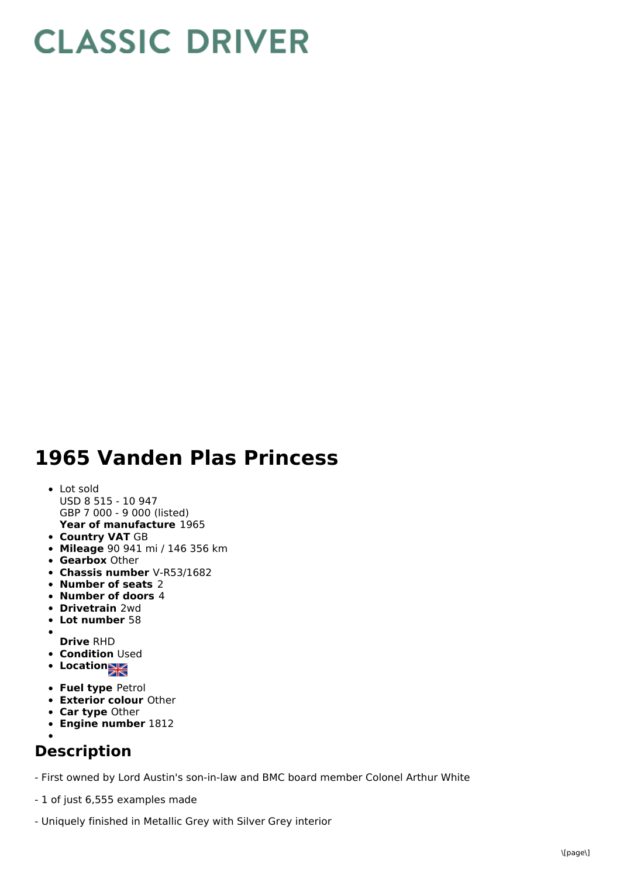## **CLASSIC DRIVER**

## **1965 Vanden Plas Princess**

## **Year of manufacture** 1965 Lot sold USD 8 515 - 10 947 GBP 7 000 - 9 000 (listed)

- **Country VAT** GB
- **Mileage** 90 941 mi / 146 356 km
- **Gearbox** Other
- **Chassis number** V-R53/1682
- **Number of seats** 2
- **Number of doors** 4
- **Drivetrain** 2wd
- **Lot number** 58
- $\bullet$
- **Drive** RHD **• Condition Used**
- **Locations**
- **Fuel type** Petrol
- **Exterior colour** Other
- **Car type** Other
- **Engine number** 1812

## **Description**

- First owned by Lord Austin's son-in-law and BMC board member Colonel Arthur White

- 1 of just 6,555 examples made
- Uniquely finished in Metallic Grey with Silver Grey interior